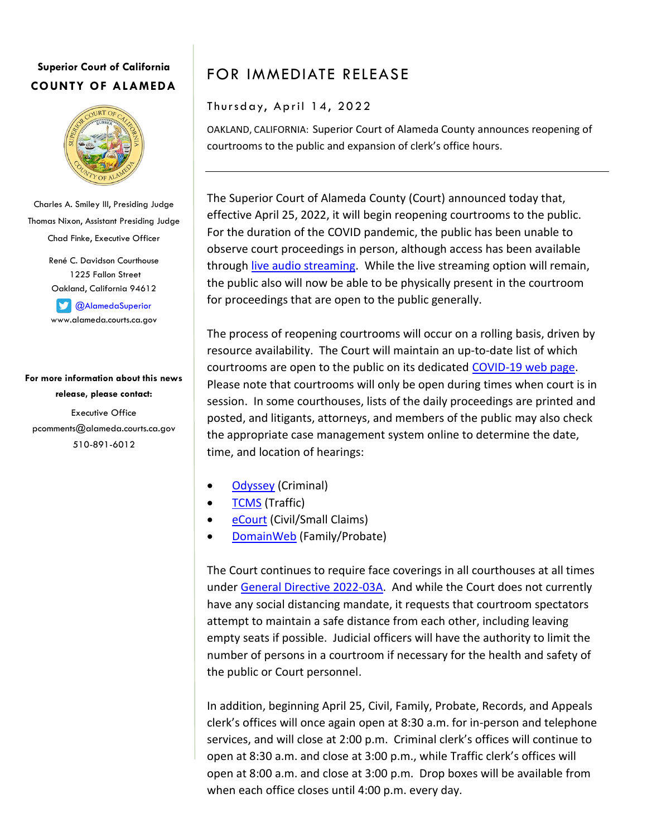## **Superior Court of California COUNTY OF ALAMEDA**



Charles A. Smiley III, Presiding Judge Thomas Nixon, Assistant Presiding Judge Chad Finke, Executive Officer

> René C. Davidson Courthouse 1225 Fallon Street Oakland, California 94612

**C**AlamedaSuperior www.alameda.courts.ca.gov

**For more information about this news release, please contact:** Executive Office pcomments@alameda.courts.ca.gov 510-891-6012

## FOR IMMEDIATE RELEASE

Thursday, April 14, 2022

OAKLAND, CALIFORNIA: Superior Court of Alameda County announces reopening of courtrooms to the public and expansion of clerk's office hours.

The Superior Court of Alameda County (Court) announced today that, effective April 25, 2022, it will begin reopening courtrooms to the public. For the duration of the COVID pandemic, the public has been unable to observe court proceedings in person, although access has been available through [live audio streaming.](https://www.alameda.courts.ca.gov/general-information/live-stream) While the live streaming option will remain, the public also will now be able to be physically present in the courtroom for proceedings that are open to the public generally.

The process of reopening courtrooms will occur on a rolling basis, driven by resource availability. The Court will maintain an up-to-date list of which courtrooms are open to the public on its dedicated [COVID-19 web page.](https://www.alameda.courts.ca.gov/general-information/covid-19) Please note that courtrooms will only be open during times when court is in session. In some courthouses, lists of the daily proceedings are printed and posted, and litigants, attorneys, and members of the public may also check the appropriate case management system online to determine the date, time, and location of hearings:

- [Odyssey](https://publicportal.alameda.courts.ca.gov/publicportal) (Criminal)
- [TCMS](https://apps3.alameda.courts.ca.gov/webpay/views/citation-entry.aspx) (Traffic)
- [eCourt](https://eportal.alameda.courts.ca.gov/) (Civil/Small Claims)
- [DomainWeb](https://www.alameda.courts.ca.gov/online-services/domainweb) (Family/Probate)

The Court continues to require face coverings in all courthouses at all times unde[r General Directive 2022-03A.](https://www.alameda.courts.ca.gov/sites/default/files/alameda/default/2022-03/2022-03A%20WEAPONS%20SECURITY%20AND%20HEALTH%20SCREENING.pdf) And while the Court does not currently have any social distancing mandate, it requests that courtroom spectators attempt to maintain a safe distance from each other, including leaving empty seats if possible. Judicial officers will have the authority to limit the number of persons in a courtroom if necessary for the health and safety of the public or Court personnel.

In addition, beginning April 25, Civil, Family, Probate, Records, and Appeals clerk's offices will once again open at 8:30 a.m. for in-person and telephone services, and will close at 2:00 p.m. Criminal clerk's offices will continue to open at 8:30 a.m. and close at 3:00 p.m., while Traffic clerk's offices will open at 8:00 a.m. and close at 3:00 p.m. Drop boxes will be available from when each office closes until 4:00 p.m. every day.